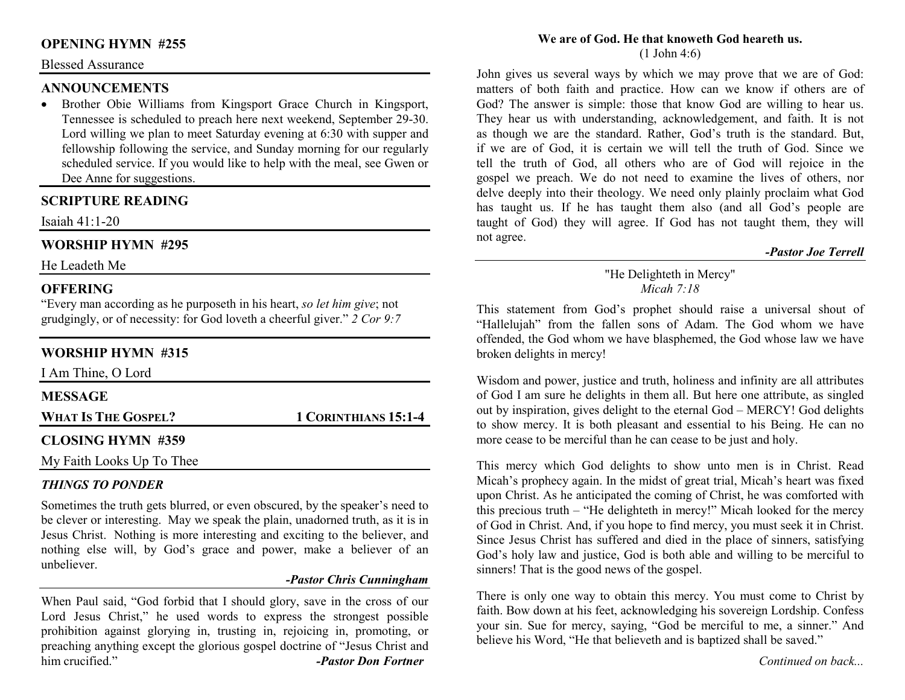# **OPENING HYMN #255**

#### Blessed Assurance

#### **ANNOUNCEMENTS**

 • Brother Obie Williams from Kingsport Grace Church in Kingsport, Tennessee is scheduled to preach here next weekend, September 29-30. Lord willing we plan to meet Saturday evening at 6:30 with supper and fellowship following the service, and Sunday morning for our regularly scheduled service. If you would like to help with the meal, see Gwen or Dee Anne for suggestions.

# **SCRIPTURE READING**

Isaiah 41:1-20

# **WORSHIP HYMN #295**

He Leadeth Me

### **OFFERING**

 "Every man according as he purposeth in his heart, *so let him give*; not grudgingly, or of necessity: for God loveth a cheerful giver." *2 Cor 9:7*

# **WORSHIP HYMN #315**

| I Am Thine, O Lord         |                      |
|----------------------------|----------------------|
| <b>MESSAGE</b>             |                      |
| <b>WHAT IS THE GOSPEL?</b> | 1 CORINTHIANS 15:1-4 |
| <b>CLOSING HYMN #359</b>   |                      |
| My Faith Looks Up To Thee  |                      |

#### *THINGS TO PONDER*

 Sometimes the truth gets blurred, or even obscured, by the speaker's need to be clever or interesting. May we speak the plain, unadorned truth, as it is in Jesus Christ. Nothing is more interesting and exciting to the believer, and nothing else will, by God's grace and power, make a believer of an unbeliever.

#### *-Pastor Chris Cunningham*

When Paul said, "God forbid that I should glory, save in the cross of our Lord Jesus Christ," he used words to express the strongest possible prohibition against glorying in, trusting in, rejoicing in, promoting, or preaching anything except the glorious gospel doctrine of "Jesus Christ and him crucified." *-Pastor Don Fortner* 

#### **We are of God. He that knoweth God heareth us.**(1 John 4:6)

John gives us several ways by which we may prove that we are of God: matters of both faith and practice. How can we know if others are of God? The answer is simple: those that know God are willing to hear us. They hear us with understanding, acknowledgement, and faith. It is not as though we are the standard. Rather, God's truth is the standard. But, if we are of God, it is certain we will tell the truth of God. Since we tell the truth of God, all others who are of God will rejoice in the gospel we preach. We do not need to examine the lives of others, nor delve deeply into their theology. We need only plainly proclaim what God has taught us. If he has taught them also (and all God's people are taught of God) they will agree. If God has not taught them, they will not agree.

#### *-Pastor Joe Terrell*

#### "He Delighteth in Mercy" *Micah 7:18*

This statement from God's prophet should raise a universal shout of "Hallelujah" from the fallen sons of Adam. The God whom we have offended, the God whom we have blasphemed, the God whose law we have broken delights in mercy!

Wisdom and power, justice and truth, holiness and infinity are all attributes of God I am sure he delights in them all. But here one attribute, as singled out by inspiration, gives delight to the eternal God – MERCY! God delights to show mercy. It is both pleasant and essential to his Being. He can no more cease to be merciful than he can cease to be just and holy.

This mercy which God delights to show unto men is in Christ. Read Micah's prophecy again. In the midst of great trial, Micah's heart was fixed upon Christ. As he anticipated the coming of Christ, he was comforted with this precious truth – "He delighteth in mercy!" Micah looked for the mercy of God in Christ. And, if you hope to find mercy, you must seek it in Christ. Since Jesus Christ has suffered and died in the place of sinners, satisfying God's holy law and justice, God is both able and willing to be merciful to sinners! That is the good news of the gospel.

There is only one way to obtain this mercy. You must come to Christ by faith. Bow down at his feet, acknowledging his sovereign Lordship. Confess your sin. Sue for mercy, saying, "God be merciful to me, a sinner." And believe his Word, "He that believeth and is baptized shall be saved."